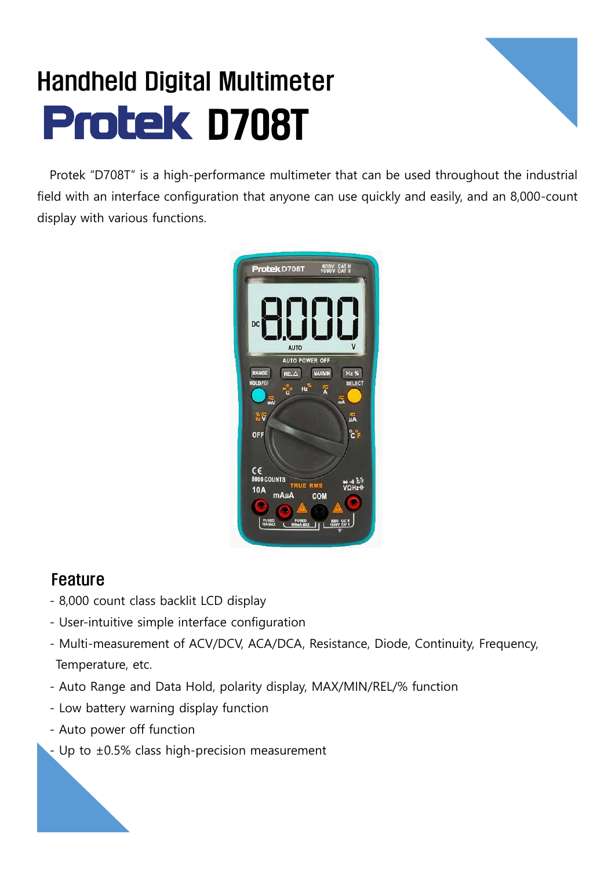## Handheld Digital Multimeter **Protek D708T**



Protek "D708T" is a high-performance multimeter that can be used throughout the industrial field with an interface configuration that anyone can use quickly and easily, and an 8,000-count display with various functions.



## Feature

- 8,000 count class backlit LCD display
- User-intuitive simple interface configuration
- Multi-measurement of ACV/DCV, ACA/DCA, Resistance, Diode, Continuity, Frequency, Temperature, etc.
- Auto Range and Data Hold, polarity display, MAX/MIN/REL/% function
- Low battery warning display function
- Auto power off function
- Up to  $\pm 0.5\%$  class high-precision measurement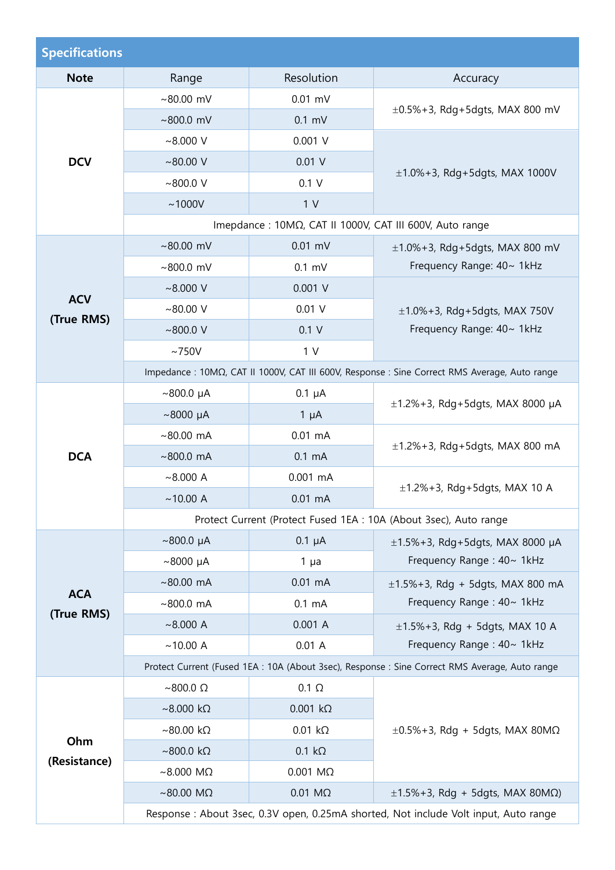| <b>Specifications</b>                                             |                                                                                               |                        |                                                                                                |  |  |
|-------------------------------------------------------------------|-----------------------------------------------------------------------------------------------|------------------------|------------------------------------------------------------------------------------------------|--|--|
| <b>Note</b>                                                       | Range                                                                                         | Resolution             | Accuracy                                                                                       |  |  |
| <b>DCV</b>                                                        | ~80.00~mV                                                                                     | $0.01$ mV              | $\pm 0.5\% + 3$ , Rdg + 5dgts, MAX 800 mV                                                      |  |  |
|                                                                   | ~800.0~mV                                                                                     | $0.1$ mV               |                                                                                                |  |  |
|                                                                   | $~8.000$ V                                                                                    | $0.001$ V              | $\pm$ 1.0%+3, Rdg+5dgts, MAX 1000V                                                             |  |  |
|                                                                   | ~100.00~V                                                                                     | 0.01 V                 |                                                                                                |  |  |
|                                                                   | ~100.0~V                                                                                      | 0.1 V                  |                                                                                                |  |  |
|                                                                   | ~1000V                                                                                        | 1 <sub>V</sub>         |                                                                                                |  |  |
|                                                                   | Imepdance : 10ΜΩ, CAT II 1000V, CAT III 600V, Auto range                                      |                        |                                                                                                |  |  |
| <b>ACV</b><br>(True RMS)                                          | ~80.00~mV                                                                                     | $0.01$ mV              | $\pm 1.0\%$ +3, Rdg+5dgts, MAX 800 mV                                                          |  |  |
|                                                                   | ~100.0~mV                                                                                     | $0.1$ mV               | Frequency Range: 40~ 1kHz                                                                      |  |  |
|                                                                   | $~8.000$ V                                                                                    | $0.001$ V              |                                                                                                |  |  |
|                                                                   | ~100.00~V                                                                                     | $0.01$ V               | $\pm$ 1.0%+3, Rdg+5dgts, MAX 750V<br>Frequency Range: 40~ 1kHz                                 |  |  |
|                                                                   | ~100.0~V                                                                                      | 0.1V                   |                                                                                                |  |  |
|                                                                   | $~1$ 750V                                                                                     | 1 <sub>V</sub>         |                                                                                                |  |  |
|                                                                   | Impedance : 10ΜΩ, CAT II 1000V, CAT III 600V, Response : Sine Correct RMS Average, Auto range |                        |                                                                                                |  |  |
|                                                                   | $~100.0~\mu A$                                                                                | $0.1 \mu A$            | $\pm$ 1.2%+3, Rdg+5dgts, MAX 8000 µA                                                           |  |  |
|                                                                   | $~1000~\mu A$                                                                                 | $1 \mu A$              |                                                                                                |  |  |
|                                                                   | $~80.00 \text{ mA}$                                                                           | $0.01$ mA              | $\pm$ 1.2%+3, Rdg+5dgts, MAX 800 mA                                                            |  |  |
| <b>DCA</b>                                                        | $~100.0$ mA                                                                                   | $0.1 \text{ mA}$       |                                                                                                |  |  |
|                                                                   | ~8.000 A                                                                                      | $0.001$ mA             | $\pm$ 1.2%+3, Rdg+5dgts, MAX 10 A                                                              |  |  |
|                                                                   | ~10.00 A                                                                                      | $0.01$ mA              |                                                                                                |  |  |
| Protect Current (Protect Fused 1EA : 10A (About 3sec), Auto range |                                                                                               |                        |                                                                                                |  |  |
|                                                                   | $~100.0~\mu A$                                                                                | $0.1 \mu A$            | $\pm$ 1.5%+3, Rdg+5dgts, MAX 8000 µA<br>Frequency Range: 40~ 1kHz                              |  |  |
|                                                                   | $~8000~\mu A$                                                                                 | $1\mua$                |                                                                                                |  |  |
| <b>ACA</b>                                                        | $~80.00$ mA                                                                                   | $0.01$ mA              | $\pm$ 1.5%+3, Rdg + 5dgts, MAX 800 mA<br>Frequency Range: 40~ 1kHz                             |  |  |
| (True RMS)                                                        | ~800.0~mA                                                                                     | $0.1 \text{ mA}$       |                                                                                                |  |  |
|                                                                   | ~8.000 A                                                                                      | 0.001A                 | $\pm$ 1.5%+3, Rdg + 5dgts, MAX 10 A<br>Frequency Range: 40~ 1kHz                               |  |  |
|                                                                   | ~10.00 A                                                                                      | 0.01A                  |                                                                                                |  |  |
|                                                                   |                                                                                               |                        | Protect Current (Fused 1EA : 10A (About 3sec), Response : Sine Correct RMS Average, Auto range |  |  |
|                                                                   | $~\sim$ 800.0 $\Omega$                                                                        | $0.1 \Omega$           | $\pm 0.5\%$ +3, Rdg + 5dgts, MAX 80M $\Omega$                                                  |  |  |
| Ohm<br>(Resistance)                                               | $~\sim$ 8.000 kΩ                                                                              | $0.001 k\Omega$        |                                                                                                |  |  |
|                                                                   | $~\sim$ 80.00 kΩ                                                                              | $0.01 k\Omega$         |                                                                                                |  |  |
|                                                                   | $\sim$ 800.0 kΩ                                                                               | $0.1 k\Omega$          |                                                                                                |  |  |
|                                                                   | $~\sim$ 8.000 M $\Omega$                                                                      | $0.001$ M $\Omega$     |                                                                                                |  |  |
|                                                                   | ~80.00 M $\Omega$                                                                             | $0.01 \text{ M}\Omega$ | $\pm$ 1.5%+3, Rdg + 5dgts, MAX 80M $\Omega$ )                                                  |  |  |
|                                                                   | Response : About 3sec, 0.3V open, 0.25mA shorted, Not include Volt input, Auto range          |                        |                                                                                                |  |  |